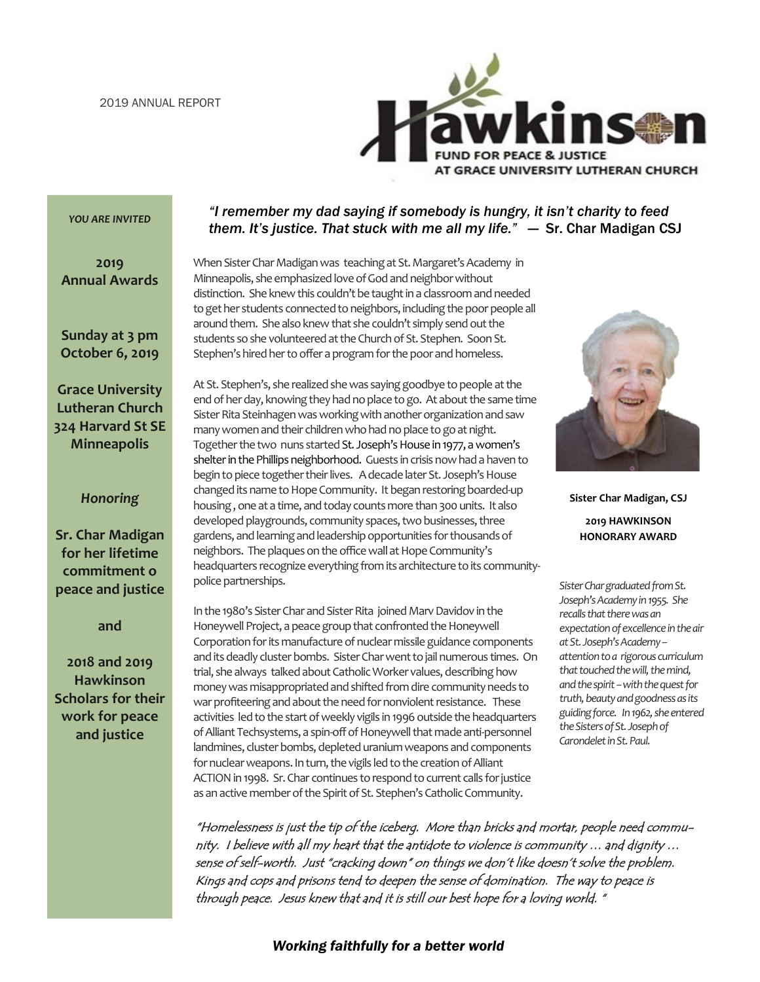

#### *YOU ARE INVITED*

#### **2019 Annual Awards**

**Sunday at 3 pm October 6, 2019**

**Grace University Lutheran Church 324 Harvard St SE Minneapolis**

#### *Honoring*

**Sr. Char Madigan for her lifetime commitment o peace and justice**

**and**

**2018 and 2019 Hawkinson Scholars for their work for peace and justice**

#### *"I remember my dad saying if somebody is hungry, it isn't charity to feed them. It's justice. That stuck with me all my life."* — Sr. Char Madigan CSJ

When Sister Char Madigan was teaching at St. Margaret's Academy in Minneapolis, she emphasized love of God and neighbor without distinction. She knew this couldn't be taught in a classroom and needed to get her students connected to neighbors, including the poor people all around them. She also knew that she couldn't simply send out the students so she volunteered at the Church of St. Stephen. Soon St. Stephen's hired her to offer a program for the poor and homeless.

At St. Stephen's, she realized she was saying goodbye to people at the end of her day, knowing they had no place to go. At about the same time Sister Rita Steinhagen was working with another organization and saw many women and their children who had no place to go at night. Together the two nuns started St. Joseph's House in 1977, a women's shelter in the Phillips neighborhood. Guests in crisis now had a haven to begin to piece together their lives. A decade later St. Joseph's House changed its name to Hope Community. It began restoring boarded-up housing , one at a time, and today counts more than 300 units. It also developed playgrounds, community spaces, two businesses, three gardens, and learning and leadership opportunities for thousands of neighbors. The plaques on the office wall at Hope Community's headquarters recognize everything from its architecture to its communitypolice partnerships.

In the 1980's Sister Char and Sister Rita joined Marv Davidov in the Honeywell Project, a peace group that confronted the Honeywell Corporation for its manufacture of nuclear missile guidance components and its deadly cluster bombs. Sister Char went to jail numerous times. On trial, she always talked about Catholic Worker values, describing how money was misappropriated and shifted from dire community needs to war profiteering and about the need for nonviolent resistance. These activities led to the start of weekly vigils in 1996 outside the headquarters of Alliant Techsystems, a spin-off of Honeywell that made anti-personnel landmines, cluster bombs, depleted uranium weapons and components for nuclear weapons. In turn, the vigils led to the creation of Alliant ACTION in 1998. Sr. Char continues to respond to current calls for justice as an active member of the Spirit of St. Stephen's Catholic Community.



**Sister Char Madigan, CSJ 2019 HAWKINSON HONORARY AWARD**

*Sister Char graduated from St. Joseph's Academy in 1955. She recalls that there was an expectation of excellence in the air at St. Joseph's Academy - attention to a rigorous curriculum that touched the will, the mind, and the spirit --with the quest for truth, beauty and goodness as its guiding force. In 1962, she entered the Sisters of St. Joseph of Carondelet in St. Paul.* 

"Homelessness is just the tip of the iceberg. More than bricks and mortar, people need community. I believe with all my heart that the antidote to violence is community … and dignity … sense of self-worth. Just "cracking down" on things we don't like doesn't solve the problem. Kings and cops and prisons tend to deepen the sense of domination. The way to peace is through peace. Jesus knew that and it is still our best hope for a loving world. "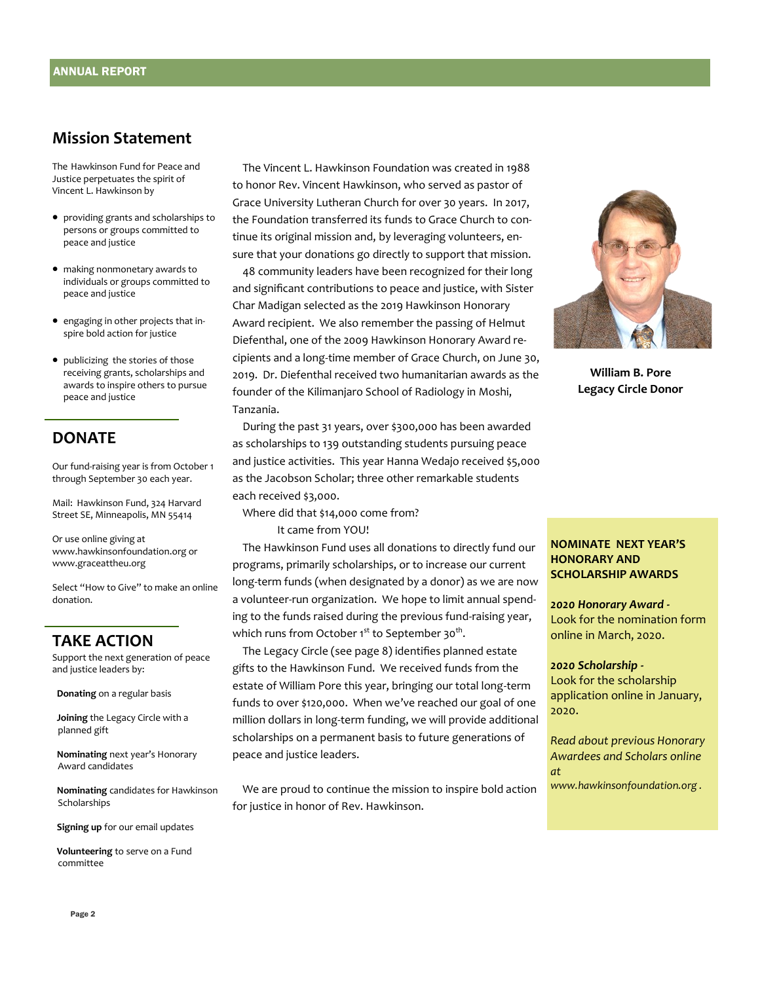#### **Mission Statement**

The Hawkinson Fund for Peace and Justice perpetuates the spirit of Vincent L. Hawkinson by

- providing grants and scholarships to persons or groups committed to peace and justice
- making nonmonetary awards to individuals or groups committed to peace and justice
- engaging in other projects that inspire bold action for justice
- publicizing the stories of those receiving grants, scholarships and awards to inspire others to pursue peace and justice

#### **DONATE**

Our fund-raising year is from October 1 through September 30 each year.

Mail: Hawkinson Fund, 324 Harvard Street SE, Minneapolis, MN 55414

Or use online giving at www.hawkinsonfoundation.org or www.graceattheu.org

Select "How to Give" to make an online donation.

#### **TAKE ACTION**

Support the next generation of peace and justice leaders by:

**Donating** on a regular basis

**Joining** the Legacy Circle with a planned gift

**Nominating** next year's Honorary Award candidates

**Nominating** candidates for Hawkinson Scholarships

**Signing up** for our email updates

**Volunteering** to serve on a Fund committee

 The Vincent L. Hawkinson Foundation was created in 1988 to honor Rev. Vincent Hawkinson, who served as pastor of Grace University Lutheran Church for over 30 years. In 2017, the Foundation transferred its funds to Grace Church to continue its original mission and, by leveraging volunteers, ensure that your donations go directly to support that mission.

 48 community leaders have been recognized for their long and significant contributions to peace and justice, with Sister Char Madigan selected as the 2019 Hawkinson Honorary Award recipient. We also remember the passing of Helmut Diefenthal, one of the 2009 Hawkinson Honorary Award recipients and a long-time member of Grace Church, on June 30, 2019. Dr. Diefenthal received two humanitarian awards as the founder of the Kilimanjaro School of Radiology in Moshi, Tanzania.

 During the past 31 years, over \$300,000 has been awarded as scholarships to 139 outstanding students pursuing peace and justice activities. This year Hanna Wedajo received \$5,000 as the Jacobson Scholar; three other remarkable students each received \$3,000.

Where did that \$14,000 come from?

It came from YOU!

 The Hawkinson Fund uses all donations to directly fund our programs, primarily scholarships, or to increase our current long-term funds (when designated by a donor) as we are now a volunteer-run organization. We hope to limit annual spending to the funds raised during the previous fund-raising year, which runs from October 1 $^{\rm st}$  to September 30 $^{\rm th}$ .

 The Legacy Circle (see page 8) identifies planned estate gifts to the Hawkinson Fund. We received funds from the estate of William Pore this year, bringing our total long-term funds to over \$120,000. When we've reached our goal of one million dollars in long-term funding, we will provide additional scholarships on a permanent basis to future generations of peace and justice leaders.

 We are proud to continue the mission to inspire bold action for justice in honor of Rev. Hawkinson.



**William B. Pore Legacy Circle Donor**

#### **NOMINATE NEXT YEAR'S HONORARY AND SCHOLARSHIP AWARDS**

*2020 Honorary Award -* Look for the nomination form online in March, 2020.

#### *2020 Scholarship -*

Look for the scholarship application online in January, 2020.

*Read about previous Honorary Awardees and Scholars online at* 

*www.hawkinsonfoundation.org .*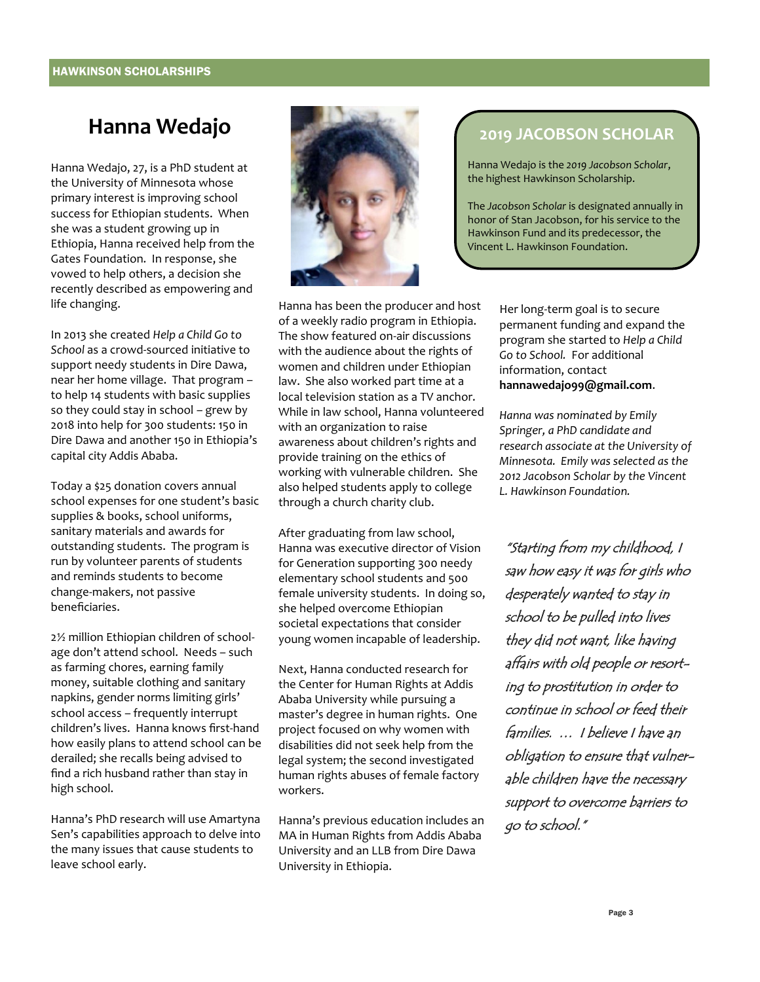# **Hanna Wedajo**

Hanna Wedajo, 27, is a PhD student at the University of Minnesota whose primary interest is improving school success for Ethiopian students. When she was a student growing up in Ethiopia, Hanna received help from the Gates Foundation. In response, she vowed to help others, a decision she recently described as empowering and life changing.

In 2013 she created *Help a Child Go to School* as a crowd-sourced initiative to support needy students in Dire Dawa, near her home village. That program – to help 14 students with basic supplies so they could stay in school – grew by 2018 into help for 300 students: 150 in Dire Dawa and another 150 in Ethiopia's capital city Addis Ababa.

Today a \$25 donation covers annual school expenses for one student's basic supplies & books, school uniforms, sanitary materials and awards for outstanding students. The program is run by volunteer parents of students and reminds students to become change-makers, not passive beneficiaries.

2½ million Ethiopian children of schoolage don't attend school. Needs – such as farming chores, earning family money, suitable clothing and sanitary napkins, gender norms limiting girls' school access – frequently interrupt children's lives. Hanna knows first-hand how easily plans to attend school can be derailed; she recalls being advised to find a rich husband rather than stay in high school.

Hanna's PhD research will use Amartyna Sen's capabilities approach to delve into the many issues that cause students to leave school early.



Hanna has been the producer and host of a weekly radio program in Ethiopia. The show featured on-air discussions with the audience about the rights of women and children under Ethiopian law. She also worked part time at a local television station as a TV anchor. While in law school, Hanna volunteered with an organization to raise awareness about children's rights and provide training on the ethics of working with vulnerable children. She also helped students apply to college through a church charity club.

After graduating from law school, Hanna was executive director of Vision for Generation supporting 300 needy elementary school students and 500 female university students. In doing so, she helped overcome Ethiopian societal expectations that consider young women incapable of leadership.

Next, Hanna conducted research for the Center for Human Rights at Addis Ababa University while pursuing a master's degree in human rights. One project focused on why women with disabilities did not seek help from the legal system; the second investigated human rights abuses of female factory workers.

Hanna's previous education includes an MA in Human Rights from Addis Ababa University and an LLB from Dire Dawa University in Ethiopia.

### **2019 JACOBSON SCHOLAR**

Hanna Wedajo is the *2019 Jacobson Scholar*, the highest Hawkinson Scholarship.

The *Jacobson Scholar* is designated annually in honor of Stan Jacobson, for his service to the Hawkinson Fund and its predecessor, the Vincent L. Hawkinson Foundation.

> Her long-term goal is to secure permanent funding and expand the program she started to *Help a Child Go to School.* For additional information, contact **hannawedajo99@gmail.com**.

*Hanna was nominated by Emily Springer, a PhD candidate and research associate at the University of Minnesota. Emily was selected as the 2012 Jacobson Scholar by the Vincent L. Hawkinson Foundation.*

"Starting from my childhood, I saw how easy it was for girls who desperately wanted to stay in school to be pulled into lives they did not want, like having affairs with old people or resorting to prostitution in order to continue in school or feed their families. … I believe I have an obligation to ensure that vulnerable children have the necessary support to overcome barriers to go to school."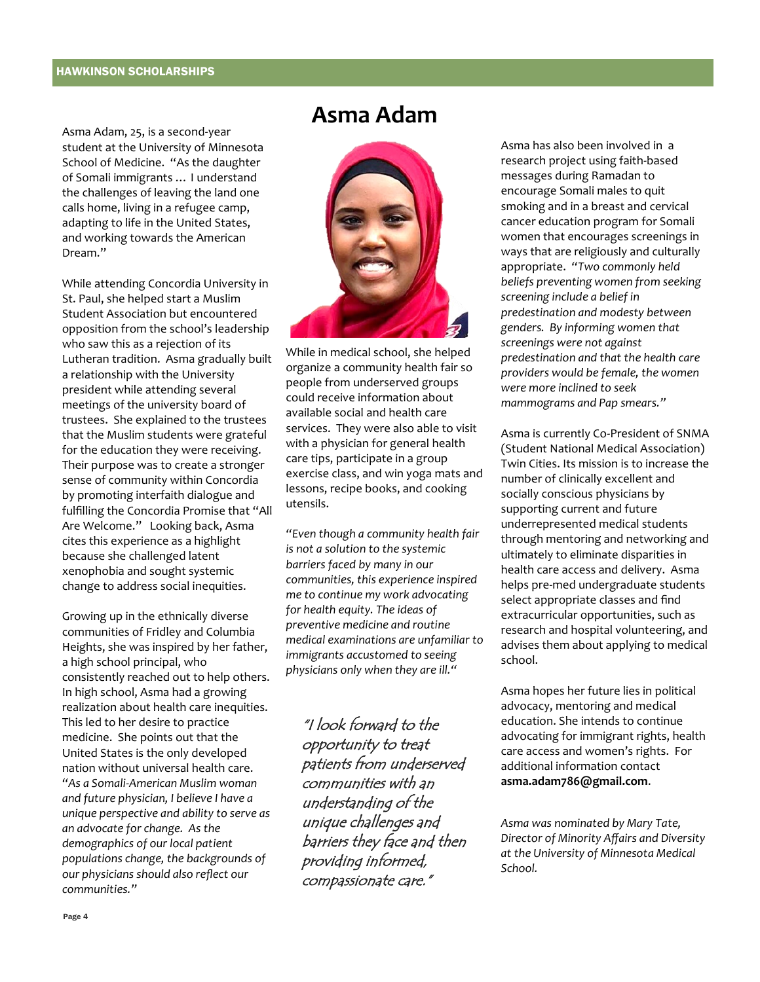#### HAWKINSON SCHOLARSHIPS

Asma Adam, 25, is a second-year student at the University of Minnesota School of Medicine. "As the daughter of Somali immigrants … I understand the challenges of leaving the land one calls home, living in a refugee camp, adapting to life in the United States, and working towards the American Dream."

While attending Concordia University in St. Paul, she helped start a Muslim Student Association but encountered opposition from the school's leadership who saw this as a rejection of its Lutheran tradition. Asma gradually built a relationship with the University president while attending several meetings of the university board of trustees. She explained to the trustees that the Muslim students were grateful for the education they were receiving. Their purpose was to create a stronger sense of community within Concordia by promoting interfaith dialogue and fulfilling the Concordia Promise that "All Are Welcome." Looking back, Asma cites this experience as a highlight because she challenged latent xenophobia and sought systemic change to address social inequities.

Growing up in the ethnically diverse communities of Fridley and Columbia Heights, she was inspired by her father, a high school principal, who consistently reached out to help others. In high school, Asma had a growing realization about health care inequities. This led to her desire to practice medicine. She points out that the United States is the only developed nation without universal health care. *"As a Somali-American Muslim woman and future physician, I believe I have a unique perspective and ability to serve as an advocate for change. As the demographics of our local patient populations change, the backgrounds of our physicians should also reflect our communities."*

### **Asma Adam**



While in medical school, she helped organize a community health fair so people from underserved groups could receive information about available social and health care services. They were also able to visit with a physician for general health care tips, participate in a group exercise class, and win yoga mats and lessons, recipe books, and cooking utensils.

*"Even though a community health fair is not a solution to the systemic barriers faced by many in our communities, this experience inspired me to continue my work advocating for health equity. The ideas of preventive medicine and routine medical examinations are unfamiliar to immigrants accustomed to seeing physicians only when they are ill."*

"I look forward to the opportunity to treat patients from underserved communities with an understanding of the unique challenges and barriers they face and then providing informed, compassionate care."

Asma has also been involved in a research project using faith-based messages during Ramadan to encourage Somali males to quit smoking and in a breast and cervical cancer education program for Somali women that encourages screenings in ways that are religiously and culturally appropriate. *"Two commonly held beliefs preventing women from seeking screening include a belief in predestination and modesty between genders. By informing women that screenings were not against predestination and that the health care providers would be female, the women were more inclined to seek mammograms and Pap smears."*

Asma is currently Co-President of SNMA (Student National Medical Association) Twin Cities. Its mission is to increase the number of clinically excellent and socially conscious physicians by supporting current and future underrepresented medical students through mentoring and networking and ultimately to eliminate disparities in health care access and delivery. Asma helps pre-med undergraduate students select appropriate classes and find extracurricular opportunities, such as research and hospital volunteering, and advises them about applying to medical school.

Asma hopes her future lies in political advocacy, mentoring and medical education. She intends to continue advocating for immigrant rights, health care access and women's rights. For additional information contact **asma.adam786@gmail.com**.

*Asma was nominated by Mary Tate, Director of Minority Affairs and Diversity at the University of Minnesota Medical School.*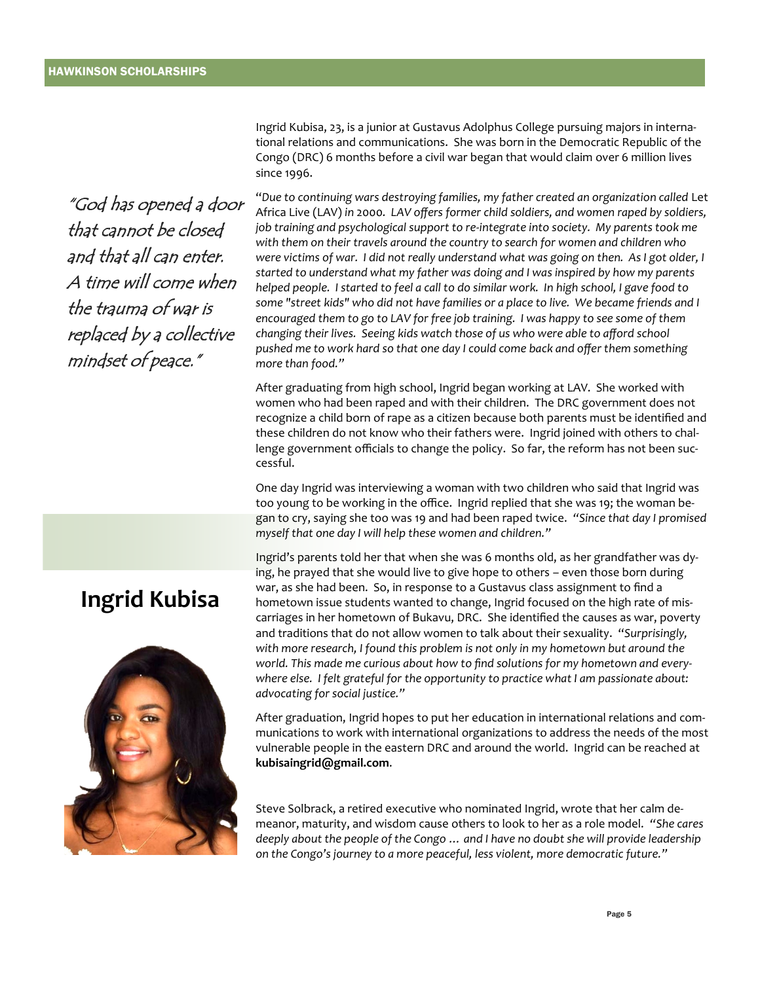"God has opened a door that cannot be closed and that all can enter. A time will come when the trauma of war is replaced by a collective mindset of peace."

# **Ingrid Kubisa**



Ingrid Kubisa, 23, is a junior at Gustavus Adolphus College pursuing majors in international relations and communications. She was born in the Democratic Republic of the Congo (DRC) 6 months before a civil war began that would claim over 6 million lives since 1996.

"*Due to continuing wars destroying families, my father created an organization called* Let Africa Live (LAV) *in* 2000*. LAV offers former child soldiers, and women raped by soldiers, job training and psychological support to re-integrate into society. My parents took me with them on their travels around the country to search for women and children who were victims of war. I did not really understand what was going on then. As I got older, I started to understand what my father was doing and I was inspired by how my parents helped people. I started to feel a call to do similar work. In high school, I gave food to some "street kids" who did not have families or a place to live. We became friends and I encouraged them to go to LAV for free job training. I was happy to see some of them changing their lives. Seeing kids watch those of us who were able to afford school pushed me to work hard so that one day I could come back and offer them something more than food."*

After graduating from high school, Ingrid began working at LAV. She worked with women who had been raped and with their children. The DRC government does not recognize a child born of rape as a citizen because both parents must be identified and these children do not know who their fathers were. Ingrid joined with others to challenge government officials to change the policy. So far, the reform has not been successful.

One day Ingrid was interviewing a woman with two children who said that Ingrid was too young to be working in the office. Ingrid replied that she was 19; the woman began to cry, saying she too was 19 and had been raped twice. *"Since that day I promised myself that one day I will help these women and children."* 

Ingrid's parents told her that when she was 6 months old, as her grandfather was dying, he prayed that she would live to give hope to others – even those born during war, as she had been. So, in response to a Gustavus class assignment to find a hometown issue students wanted to change, Ingrid focused on the high rate of miscarriages in her hometown of Bukavu, DRC. She identified the causes as war, poverty and traditions that do not allow women to talk about their sexuality. "*Surprisingly, with more research, I found this problem is not only in my hometown but around the world. This made me curious about how to find solutions for my hometown and everywhere else. I felt grateful for the opportunity to practice what I am passionate about: advocating for social justice."*

After graduation, Ingrid hopes to put her education in international relations and communications to work with international organizations to address the needs of the most vulnerable people in the eastern DRC and around the world. Ingrid can be reached at **kubisaingrid@gmail.com**.

Steve Solbrack, a retired executive who nominated Ingrid, wrote that her calm demeanor, maturity, and wisdom cause others to look to her as a role model. *"She cares deeply about the people of the Congo … and I have no doubt she will provide leadership on the Congo's journey to a more peaceful, less violent, more democratic future."*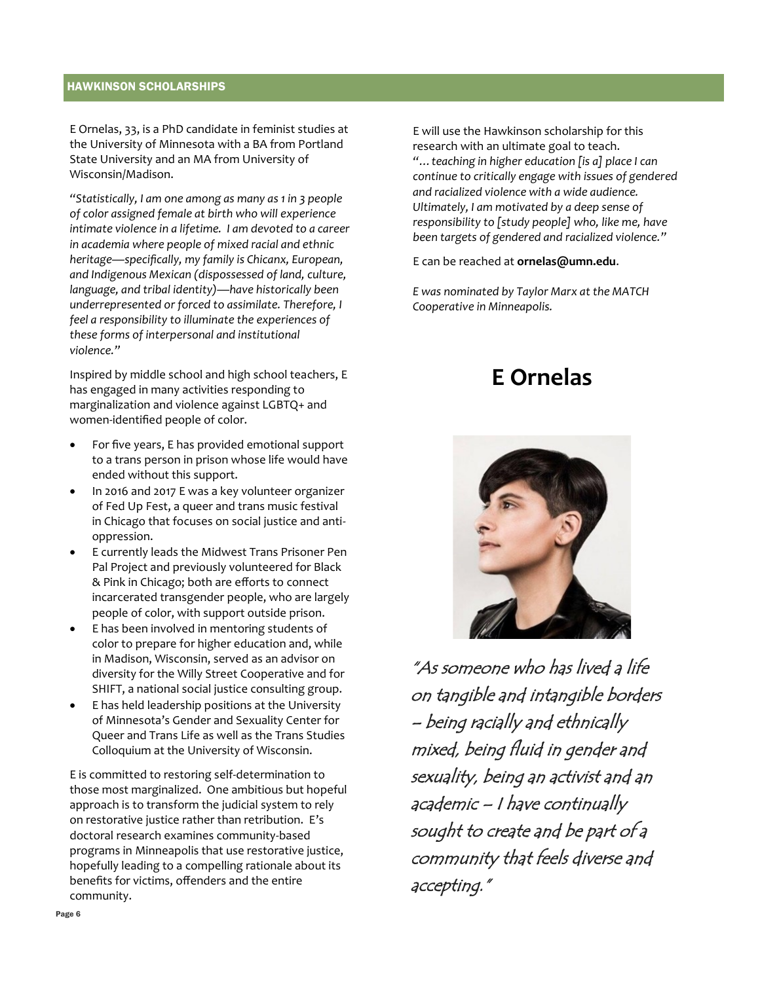#### HAWKINSON SCHOLARSHIPS

E Ornelas, 33, is a PhD candidate in feminist studies at the University of Minnesota with a BA from Portland State University and an MA from University of Wisconsin/Madison.

*"Statistically, I am one among as many as 1 in 3 people of color assigned female at birth who will experience intimate violence in a lifetime. I am devoted to a career in academia where people of mixed racial and ethnic heritage—specifically, my family is Chicanx, European, and Indigenous Mexican (dispossessed of land, culture, language, and tribal identity)—have historically been underrepresented or forced to assimilate. Therefore, I feel a responsibility to illuminate the experiences of these forms of interpersonal and institutional violence."*

Inspired by middle school and high school teachers, E has engaged in many activities responding to marginalization and violence against LGBTQ+ and women-identified people of color.

- For five years, E has provided emotional support to a trans person in prison whose life would have ended without this support.
- In 2016 and 2017 E was a key volunteer organizer of Fed Up Fest, a queer and trans music festival in Chicago that focuses on social justice and antioppression.
- E currently leads the Midwest Trans Prisoner Pen Pal Project and previously volunteered for Black & Pink in Chicago; both are efforts to connect incarcerated transgender people, who are largely people of color, with support outside prison.
- E has been involved in mentoring students of color to prepare for higher education and, while in Madison, Wisconsin, served as an advisor on diversity for the Willy Street Cooperative and for SHIFT, a national social justice consulting group.
- E has held leadership positions at the University of Minnesota's Gender and Sexuality Center for Queer and Trans Life as well as the Trans Studies Colloquium at the University of Wisconsin.

E is committed to restoring self-determination to those most marginalized. One ambitious but hopeful approach is to transform the judicial system to rely on restorative justice rather than retribution. E's doctoral research examines community-based programs in Minneapolis that use restorative justice, hopefully leading to a compelling rationale about its benefits for victims, offenders and the entire community.

E will use the Hawkinson scholarship for this research with an ultimate goal to teach.

*"…teaching in higher education [is a] place I can continue to critically engage with issues of gendered and racialized violence with a wide audience. Ultimately, I am motivated by a deep sense of responsibility to [study people] who, like me, have been targets of gendered and racialized violence."*

E can be reached at **ornelas@umn.edu**.

*E was nominated by Taylor Marx at the MATCH Cooperative in Minneapolis.*

# **E Ornelas**



"As someone who has lived a life on tangible and intangible borders – being racially and ethnically mixed, being fluid in gender and sexuality, being an activist and an academic – I have continually sought to create and be part of a community that feels diverse and accepting."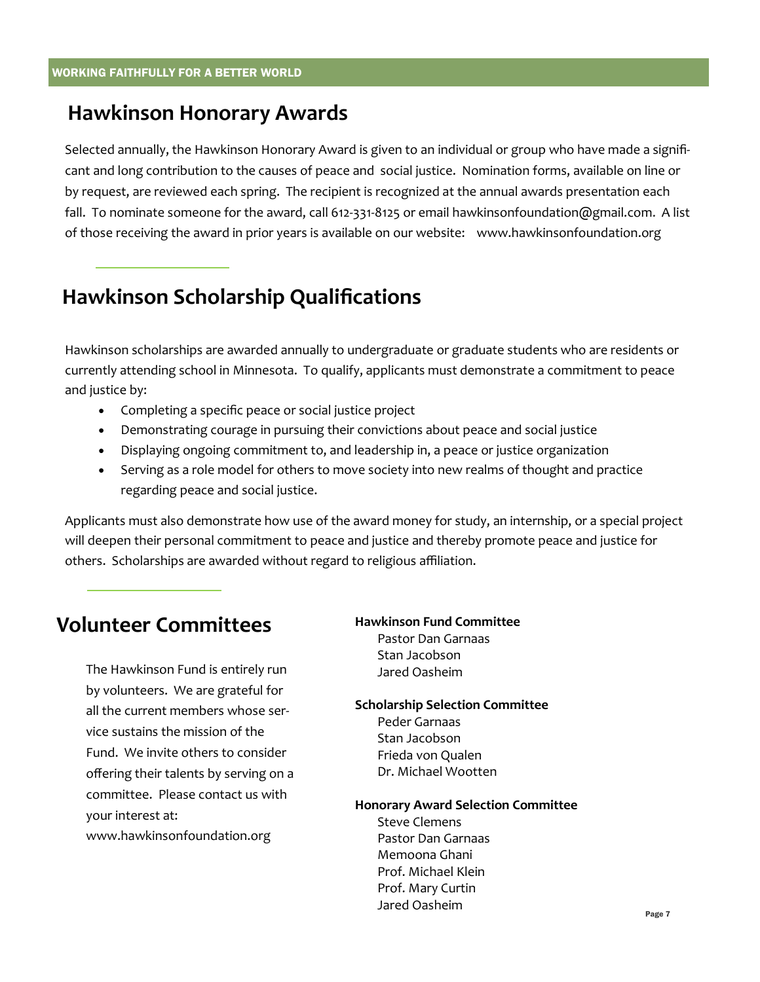### **Hawkinson Honorary Awards**

Selected annually, the Hawkinson Honorary Award is given to an individual or group who have made a significant and long contribution to the causes of peace and social justice. Nomination forms, available on line or by request, are reviewed each spring. The recipient is recognized at the annual awards presentation each fall. To nominate someone for the award, call 612-331-8125 or email hawkinsonfoundation@gmail.com. A list of those receiving the award in prior years is available on our website: www.hawkinsonfoundation.org

# **Hawkinson Scholarship Qualifications**

Hawkinson scholarships are awarded annually to undergraduate or graduate students who are residents or currently attending school in Minnesota. To qualify, applicants must demonstrate a commitment to peace and justice by:

- Completing a specific peace or social justice project
- Demonstrating courage in pursuing their convictions about peace and social justice
- Displaying ongoing commitment to, and leadership in, a peace or justice organization
- Serving as a role model for others to move society into new realms of thought and practice regarding peace and social justice.

Applicants must also demonstrate how use of the award money for study, an internship, or a special project will deepen their personal commitment to peace and justice and thereby promote peace and justice for others. Scholarships are awarded without regard to religious affiliation.

### **Volunteer Committees**

The Hawkinson Fund is entirely run by volunteers. We are grateful for all the current members whose service sustains the mission of the Fund. We invite others to consider offering their talents by serving on a committee. Please contact us with your interest at: www.hawkinsonfoundation.org

#### **Hawkinson Fund Committee** Pastor Dan Garnaas

Stan Jacobson Jared Oasheim

#### **Scholarship Selection Committee**

Peder Garnaas Stan Jacobson Frieda von Qualen Dr. Michael Wootten

#### **Honorary Award Selection Committee**

Steve Clemens Pastor Dan Garnaas Memoona Ghani Prof. Michael Klein Prof. Mary Curtin Jared Oasheim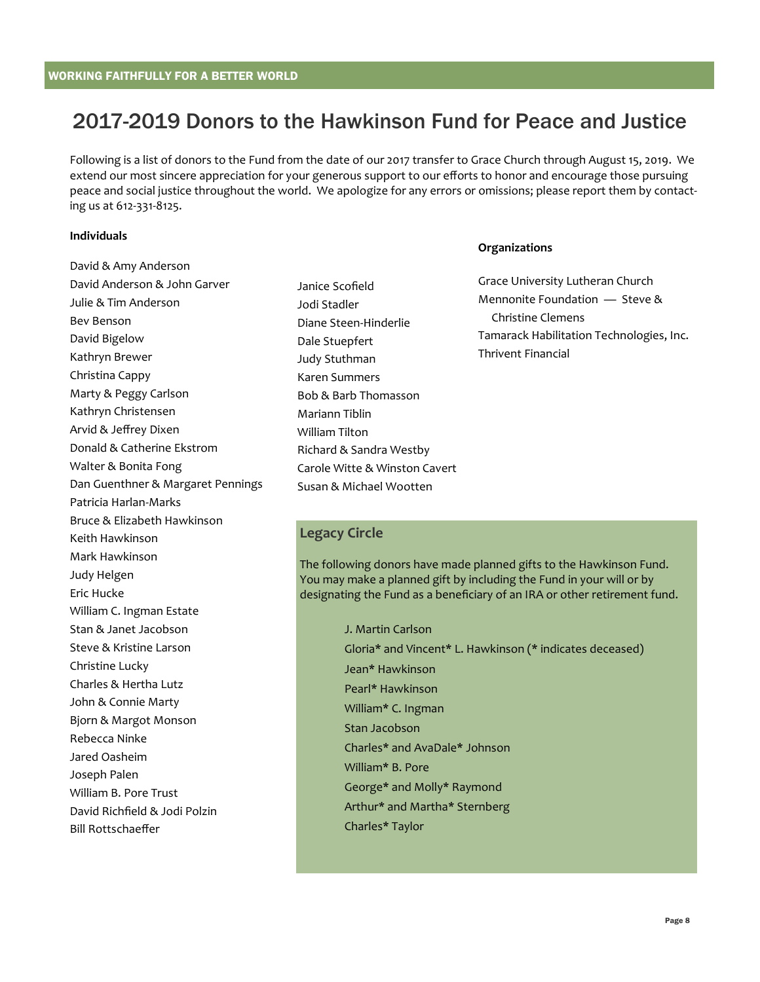## 2017-2019 Donors to the Hawkinson Fund for Peace and Justice

Following is a list of donors to the Fund from the date of our 2017 transfer to Grace Church through August 15, 2019. We extend our most sincere appreciation for your generous support to our efforts to honor and encourage those pursuing peace and social justice throughout the world. We apologize for any errors or omissions; please report them by contacting us at 612-331-8125.

#### **Individuals**

David & Amy Anderson David Anderson & John Garver Julie & Tim Anderson Bev Benson David Bigelow Kathryn Brewer Christina Cappy Marty & Peggy Carlson Kathryn Christensen Arvid & Jeffrey Dixen Donald & Catherine Ekstrom Walter & Bonita Fong Dan Guenthner & Margaret Pennings Patricia Harlan-Marks Bruce & Elizabeth Hawkinson Keith Hawkinson Mark Hawkinson Judy Helgen Eric Hucke William C. Ingman Estate Stan & Janet Jacobson Steve & Kristine Larson Christine Lucky Charles & Hertha Lutz John & Connie Marty Bjorn & Margot Monson Rebecca Ninke Jared Oasheim Joseph Palen William B. Pore Trust David Richfield & Jodi Polzin Bill Rottschaeffer

Janice Scofield Jodi Stadler Diane Steen-Hinderlie Dale Stuepfert Judy Stuthman Karen Summers Bob & Barb Thomasson Mariann Tiblin William Tilton Richard & Sandra Westby Carole Witte & Winston Cavert Susan & Michael Wootten

#### **Organizations**

Grace University Lutheran Church Mennonite Foundation — Steve & Christine Clemens Tamarack Habilitation Technologies, Inc. Thrivent Financial

#### **Legacy Circle**

The following donors have made planned gifts to the Hawkinson Fund. You may make a planned gift by including the Fund in your will or by designating the Fund as a beneficiary of an IRA or other retirement fund.

> J. Martin Carlson Gloria\* and Vincent\* L. Hawkinson (\* indicates deceased) Jean\* Hawkinson Pearl\* Hawkinson William\* C. Ingman Stan Jacobson Charles\* and AvaDale\* Johnson William\* B. Pore George\* and Molly\* Raymond Arthur\* and Martha\* Sternberg Charles\* Taylor